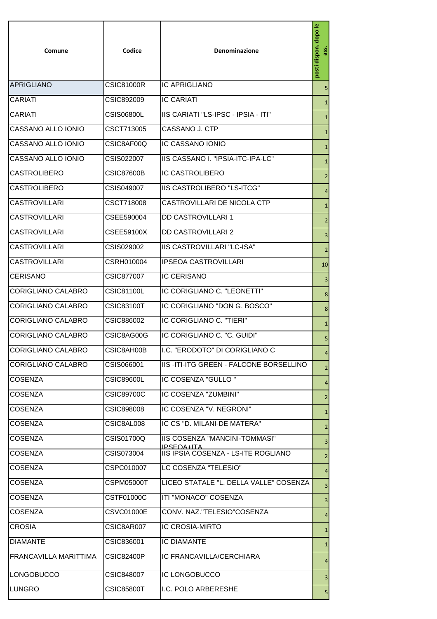| Comune                    | Codice            | Denominazione                                      | posti dispon. dopo le   |
|---------------------------|-------------------|----------------------------------------------------|-------------------------|
| APRIGLIANO                | <b>CSIC81000R</b> | <b>IC APRIGLIANO</b>                               | 5                       |
| <b>CARIATI</b>            | CSIC892009        | <b>IC CARIATI</b>                                  | $\mathbf{1}$            |
| <b>CARIATI</b>            | <b>CSIS06800L</b> | IIS CARIATI "LS-IPSC - IPSIA - ITI"                | $\mathbf{1}$            |
| CASSANO ALLO IONIO        | CSCT713005        | CASSANO J. CTP                                     | $\mathbf{1}$            |
| CASSANO ALLO IONIO        | CSIC8AF00Q        | IC CASSANO IONIO                                   | $\mathbf{1}$            |
| CASSANO ALLO IONIO        | CSIS022007        | IIS CASSANO I. "IPSIA-ITC-IPA-LC"                  | $\mathbf{1}$            |
| ICASTROLIBERO             | <b>CSIC87600B</b> | <b>IC CASTROLIBERO</b>                             | $\overline{2}$          |
| <b>CASTROLIBERO</b>       | CSIS049007        | IIS CASTROLIBERO "LS-ITCG"                         | $\overline{4}$          |
| <b>CASTROVILLARI</b>      | CSCT718008        | CASTROVILLARI DE NICOLA CTP                        | $\mathbf{1}$            |
| <b>CASTROVILLARI</b>      | CSEE590004        | <b>DD CASTROVILLARI 1</b>                          | $\overline{2}$          |
| <b>CASTROVILLARI</b>      | CSEE59100X        | <b>DD CASTROVILLARI 2</b>                          | $\overline{3}$          |
| <b>CASTROVILLARI</b>      | CSIS029002        | IIS CASTROVILLARI "LC-ISA"                         | $\overline{2}$          |
| <b>CASTROVILLARI</b>      | CSRH010004        | <b>IPSEOA CASTROVILLARI</b>                        | 10                      |
| <b>ICERISANO</b>          | CSIC877007        | <b>IC CERISANO</b>                                 | $\overline{3}$          |
| CORIGLIANO CALABRO        | <b>CSIC81100L</b> | IC CORIGLIANO C. "LEONETTI"                        | $\bf 8$                 |
| <b>CORIGLIANO CALABRO</b> | <b>CSIC83100T</b> | IC CORIGLIANO "DON G. BOSCO"                       | 8                       |
| CORIGLIANO CALABRO        | CSIC886002        | IC CORIGLIANO C. "TIERI"                           | $\mathbf{1}$            |
| <b>CORIGLIANO CALABRO</b> | CSIC8AG00G        | IC CORIGLIANO C. "C. GUIDI"                        | 5                       |
| <b>CORIGLIANO CALABRO</b> | CSIC8AH00B        | I.C. "ERODOTO" DI CORIGLIANO C                     | $\overline{4}$          |
| CORIGLIANO CALABRO        | CSIS066001        | <b>IIS-ITI-ITG GREEN - FALCONE BORSELLINO</b>      | $\overline{2}$          |
| <b>COSENZA</b>            | <b>CSIC89600L</b> | IC COSENZA "GULLO"                                 | $\overline{4}$          |
| <b>ICOSENZA</b>           | CSIC89700C        | IC COSENZA "ZUMBINI"                               | $\overline{2}$          |
| <b>COSENZA</b>            | <b>CSIC898008</b> | IC COSENZA "V. NEGRONI"                            | $\mathbf{1}$            |
| <b>COSENZA</b>            | CSIC8AL008        | IC CS "D. MILANI-DE MATERA"                        | $\overline{2}$          |
| <b>COSENZA</b>            | CSIS01700Q        | IIS COSENZA "MANCINI-TOMMASI"<br><b>IPSEOA+JTA</b> | $\overline{\mathbf{3}}$ |
| <b>COSENZA</b>            | CSIS073004        | IIS IPSIA COSENZA - LS-ITE ROGLIANO                | $\overline{2}$          |
| <b>COSENZA</b>            | CSPC010007        | LC COSENZA "TELESIO"                               | $\overline{4}$          |
| <b>COSENZA</b>            | CSPM05000T        | LICEO STATALE "L. DELLA VALLE" COSENZA             | $\overline{\mathbf{3}}$ |
| <b>COSENZA</b>            | CSTF01000C        | ITI "MONACO" COSENZA                               | $\overline{3}$          |
| <b>COSENZA</b>            | <b>CSVC01000E</b> | CONV. NAZ."TELESIO"COSENZA                         | $\overline{4}$          |
| <b>CROSIA</b>             | CSIC8AR007        | <b>IC CROSIA-MIRTO</b>                             | $\mathbf{1}$            |
| <b>DIAMANTE</b>           | CSIC836001        | <b>IC DIAMANTE</b>                                 | $\mathbf{1}$            |
| FRANCAVILLA MARITTIMA     | <b>CSIC82400P</b> | IC FRANCAVILLA/CERCHIARA                           | $\overline{4}$          |
| <b>LONGOBUCCO</b>         | CSIC848007        | <b>IC LONGOBUCCO</b>                               | $\overline{\mathbf{3}}$ |
| LUNGRO                    | CSIC85800T        | I.C. POLO ARBERESHE                                | $\overline{5}$          |